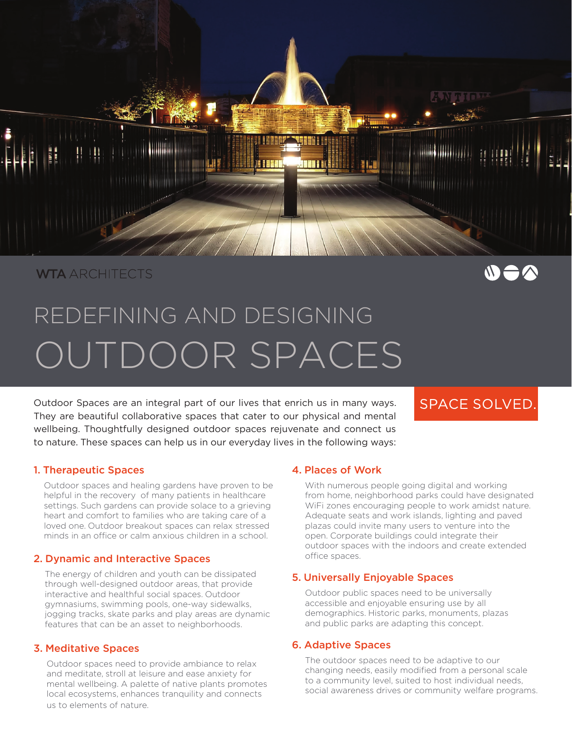

### **WTA ARCHITECTS**



# REDEFINING AND DESIGNING OUTDOOR SPACES

Outdoor Spaces are an integral part of our lives that enrich us in many ways. They are beautiful collaborative spaces that cater to our physical and mental wellbeing. Thoughtfully designed outdoor spaces rejuvenate and connect us to nature. These spaces can help us in our everyday lives in the following ways:

## SPACE SOLVED.

#### 1. Therapeutic Spaces

Outdoor spaces and healing gardens have proven to be helpful in the recovery of many patients in healthcare settings. Such gardens can provide solace to a grieving heart and comfort to families who are taking care of a loved one. Outdoor breakout spaces can relax stressed minds in an office or calm anxious children in a school.

#### 2. Dynamic and Interactive Spaces

The energy of children and youth can be dissipated through well-designed outdoor areas, that provide interactive and healthful social spaces. Outdoor gymnasiums, swimming pools, one-way sidewalks, jogging tracks, skate parks and play areas are dynamic features that can be an asset to neighborhoods.

#### 3. Meditative Spaces

Outdoor spaces need to provide ambiance to relax and meditate, stroll at leisure and ease anxiety for mental wellbeing. A palette of native plants promotes local ecosystems, enhances tranquility and connects us to elements of nature.

#### 4. Places of Work

With numerous people going digital and working from home, neighborhood parks could have designated WiFi zones encouraging people to work amidst nature. Adequate seats and work islands, lighting and paved plazas could invite many users to venture into the open. Corporate buildings could integrate their outdoor spaces with the indoors and create extended office spaces.

#### 5. Universally Enjoyable Spaces

Outdoor public spaces need to be universally accessible and enjoyable ensuring use by all demographics. Historic parks, monuments, plazas and public parks are adapting this concept.

#### 6. Adaptive Spaces

The outdoor spaces need to be adaptive to our changing needs, easily modified from a personal scale to a community level, suited to host individual needs, social awareness drives or community welfare programs.